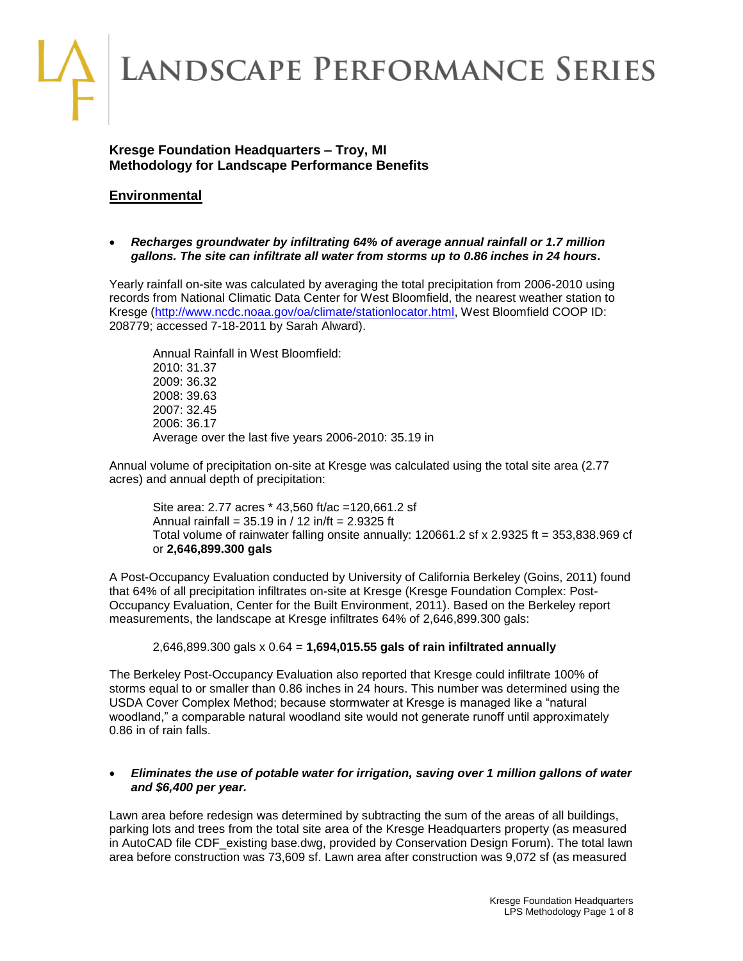LANDSCAPE PERFORMANCE SERIES

# **Kresge Foundation Headquarters – Troy, MI Methodology for Landscape Performance Benefits**

# **Environmental**

 *Recharges groundwater by infiltrating 64% of average annual rainfall or 1.7 million gallons. The site can infiltrate all water from storms up to 0.86 inches in 24 hours.*

Yearly rainfall on-site was calculated by averaging the total precipitation from 2006-2010 using records from National Climatic Data Center for West Bloomfield, the nearest weather station to Kresge [\(http://www.ncdc.noaa.gov/oa/climate/stationlocator.html,](http://www.ncdc.noaa.gov/oa/climate/stationlocator.html) West Bloomfield COOP ID: 208779; accessed 7-18-2011 by Sarah Alward).

Annual Rainfall in West Bloomfield: 2010: 31.37 2009: 36.32 2008: 39.63 2007: 32.45 2006: 36.17 Average over the last five years 2006-2010: 35.19 in

Annual volume of precipitation on-site at Kresge was calculated using the total site area (2.77 acres) and annual depth of precipitation:

Site area: 2.77 acres \* 43,560 ft/ac =120,661.2 sf Annual rainfall = 35.19 in / 12 in/ft = 2.9325 ft Total volume of rainwater falling onsite annually: 120661.2 sf x 2.9325 ft = 353,838.969 cf or **2,646,899.300 gals**

A Post-Occupancy Evaluation conducted by University of California Berkeley (Goins, 2011) found that 64% of all precipitation infiltrates on-site at Kresge (Kresge Foundation Complex: Post-Occupancy Evaluation, Center for the Built Environment, 2011). Based on the Berkeley report measurements, the landscape at Kresge infiltrates 64% of 2,646,899.300 gals:

2,646,899.300 gals x 0.64 = **1,694,015.55 gals of rain infiltrated annually** 

The Berkeley Post-Occupancy Evaluation also reported that Kresge could infiltrate 100% of storms equal to or smaller than 0.86 inches in 24 hours. This number was determined using the USDA Cover Complex Method; because stormwater at Kresge is managed like a "natural woodland," a comparable natural woodland site would not generate runoff until approximately 0.86 in of rain falls.

## *Eliminates the use of potable water for irrigation, saving over 1 million gallons of water and \$6,400 per year.*

Lawn area before redesign was determined by subtracting the sum of the areas of all buildings, parking lots and trees from the total site area of the Kresge Headquarters property (as measured in AutoCAD file CDF existing base.dwg, provided by Conservation Design Forum). The total lawn area before construction was 73,609 sf. Lawn area after construction was 9,072 sf (as measured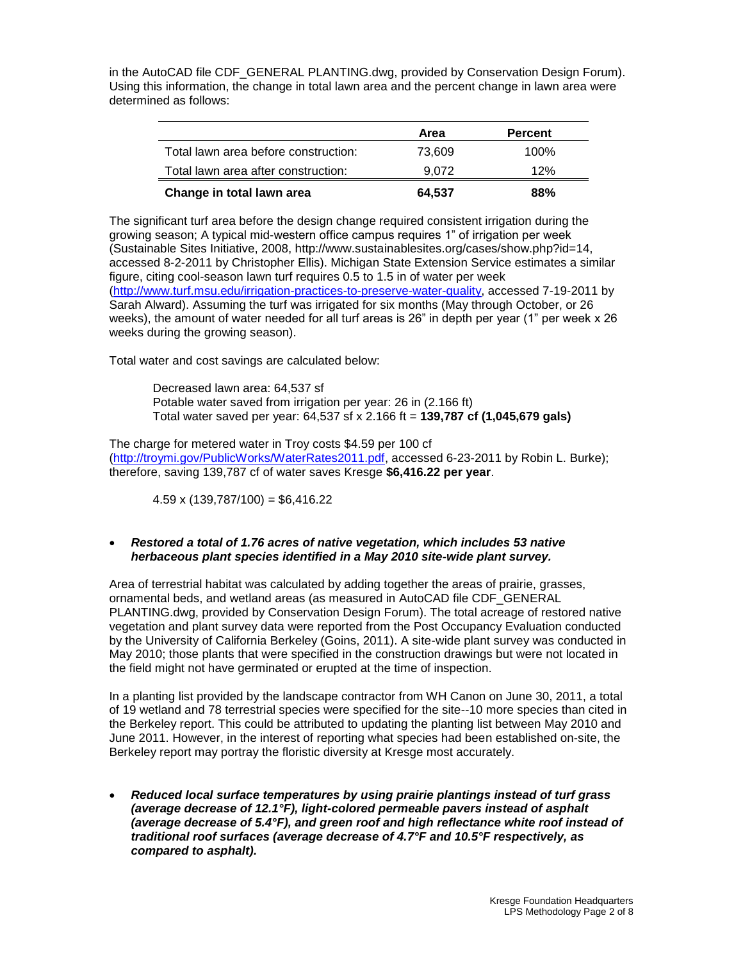in the AutoCAD file CDF\_GENERAL PLANTING.dwg, provided by Conservation Design Forum). Using this information, the change in total lawn area and the percent change in lawn area were determined as follows:

|                                      | Area   | <b>Percent</b> |
|--------------------------------------|--------|----------------|
| Total lawn area before construction: | 73.609 | 100%           |
| Total lawn area after construction:  | 9.072  | 12%            |
| Change in total lawn area            | 64,537 | 88%            |

The significant turf area before the design change required consistent irrigation during the growing season; A typical mid-western office campus requires 1" of irrigation per week (Sustainable Sites Initiative, 2008, http://www.sustainablesites.org/cases/show.php?id=14, accessed 8-2-2011 by Christopher Ellis). Michigan State Extension Service estimates a similar figure, citing cool-season lawn turf requires 0.5 to 1.5 in of water per week [\(http://www.turf.msu.edu/irrigation-practices-to-preserve-water-quality,](http://www.turf.msu.edu/irrigation-practices-to-preserve-water-quality) accessed 7-19-2011 by Sarah Alward). Assuming the turf was irrigated for six months (May through October, or 26 weeks), the amount of water needed for all turf areas is 26" in depth per year (1" per week x 26 weeks during the growing season).

Total water and cost savings are calculated below:

Decreased lawn area: 64,537 sf Potable water saved from irrigation per year: 26 in (2.166 ft) Total water saved per year: 64,537 sf x 2.166 ft = **139,787 cf (1,045,679 gals)**

The charge for metered water in Troy costs \$4.59 per 100 cf [\(http://troymi.gov/PublicWorks/WaterRates2011.pdf,](http://troymi.gov/PublicWorks/WaterRates2011.pdf) accessed 6-23-2011 by Robin L. Burke); therefore, saving 139,787 cf of water saves Kresge **\$6,416.22 per year**.

 $4.59 \times (139,787/100) = $6,416.22$ 

### *Restored a total of 1.76 acres of native vegetation, which includes 53 native herbaceous plant species identified in a May 2010 site-wide plant survey.*

Area of terrestrial habitat was calculated by adding together the areas of prairie, grasses, ornamental beds, and wetland areas (as measured in AutoCAD file CDF\_GENERAL PLANTING.dwg, provided by Conservation Design Forum). The total acreage of restored native vegetation and plant survey data were reported from the Post Occupancy Evaluation conducted by the University of California Berkeley (Goins, 2011). A site-wide plant survey was conducted in May 2010; those plants that were specified in the construction drawings but were not located in the field might not have germinated or erupted at the time of inspection.

In a planting list provided by the landscape contractor from WH Canon on June 30, 2011, a total of 19 wetland and 78 terrestrial species were specified for the site--10 more species than cited in the Berkeley report. This could be attributed to updating the planting list between May 2010 and June 2011. However, in the interest of reporting what species had been established on-site, the Berkeley report may portray the floristic diversity at Kresge most accurately.

 *Reduced local surface temperatures by using prairie plantings instead of turf grass (average decrease of 12.1°F), light-colored permeable pavers instead of asphalt (average decrease of 5.4°F), and green roof and high reflectance white roof instead of traditional roof surfaces (average decrease of 4.7°F and 10.5°F respectively, as compared to asphalt).*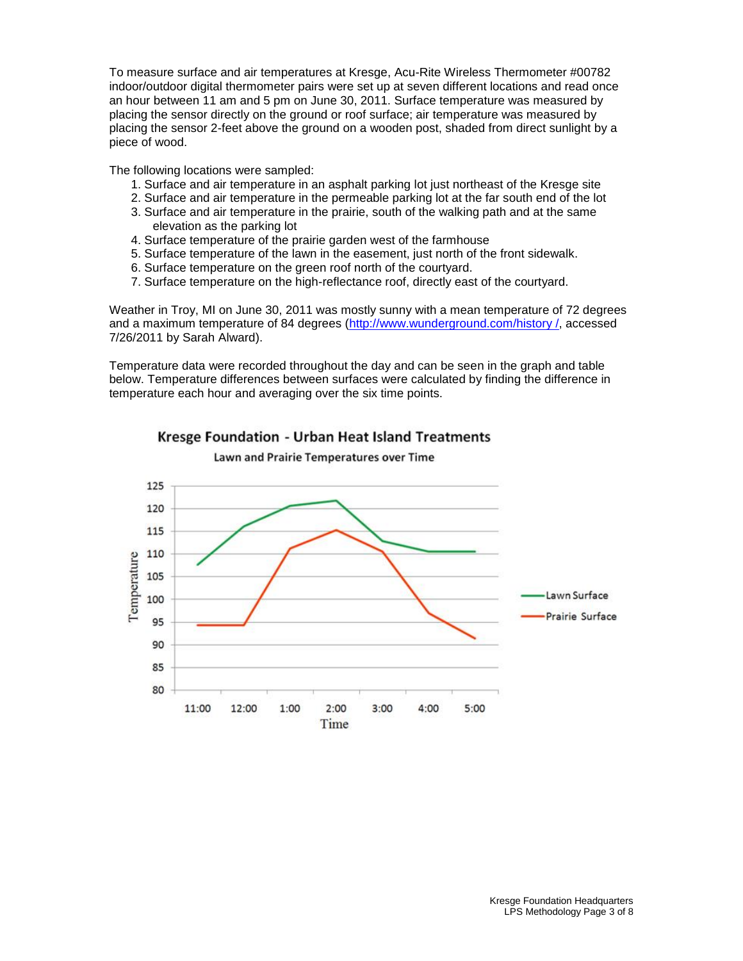To measure surface and air temperatures at Kresge, Acu-Rite Wireless Thermometer #00782 indoor/outdoor digital thermometer pairs were set up at seven different locations and read once an hour between 11 am and 5 pm on June 30, 2011. Surface temperature was measured by placing the sensor directly on the ground or roof surface; air temperature was measured by placing the sensor 2-feet above the ground on a wooden post, shaded from direct sunlight by a piece of wood.

The following locations were sampled:

- 1. Surface and air temperature in an asphalt parking lot just northeast of the Kresge site
- 2. Surface and air temperature in the permeable parking lot at the far south end of the lot
- 3. Surface and air temperature in the prairie, south of the walking path and at the same elevation as the parking lot
- 4. Surface temperature of the prairie garden west of the farmhouse
- 5. Surface temperature of the lawn in the easement, just north of the front sidewalk.
- 6. Surface temperature on the green roof north of the courtyard.
- 7. Surface temperature on the high-reflectance roof, directly east of the courtyard.

Weather in Troy, MI on June 30, 2011 was mostly sunny with a mean temperature of 72 degrees and a maximum temperature of 84 degrees [\(http://www.wunderground.com/history /,](http://www.wunderground.com/history%20/) accessed 7/26/2011 by Sarah Alward).

Temperature data were recorded throughout the day and can be seen in the graph and table below. Temperature differences between surfaces were calculated by finding the difference in temperature each hour and averaging over the six time points.



# Kresge Foundation - Urban Heat Island Treatments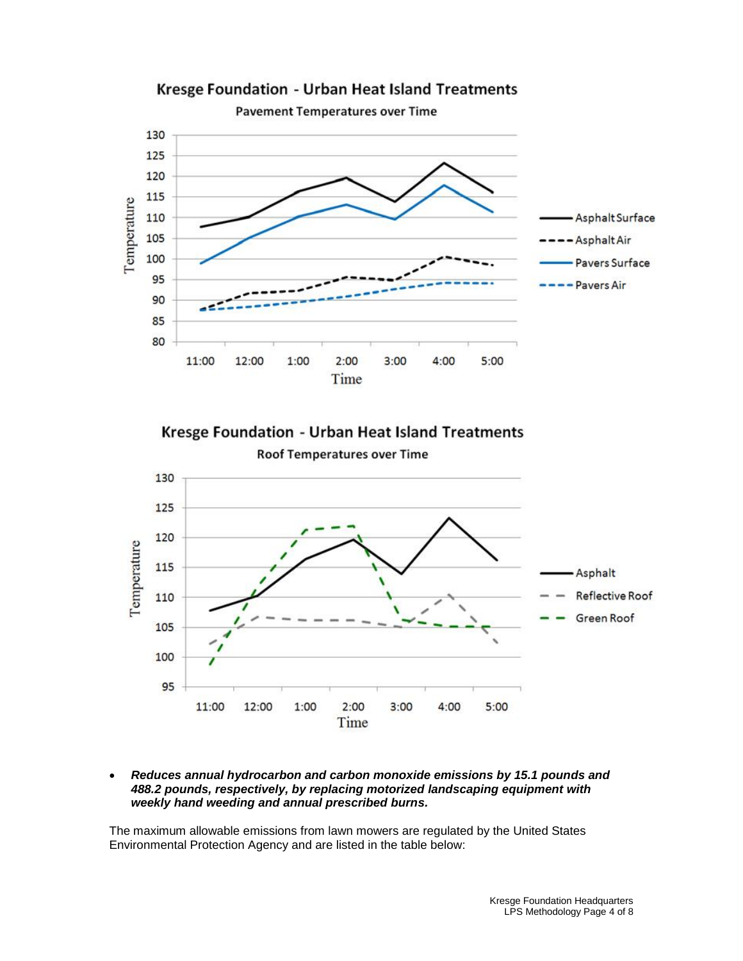

 *Reduces annual hydrocarbon and carbon monoxide emissions by 15.1 pounds and 488.2 pounds, respectively, by replacing motorized landscaping equipment with weekly hand weeding and annual prescribed burns.*

The maximum allowable emissions from lawn mowers are regulated by the United States Environmental Protection Agency and are listed in the table below: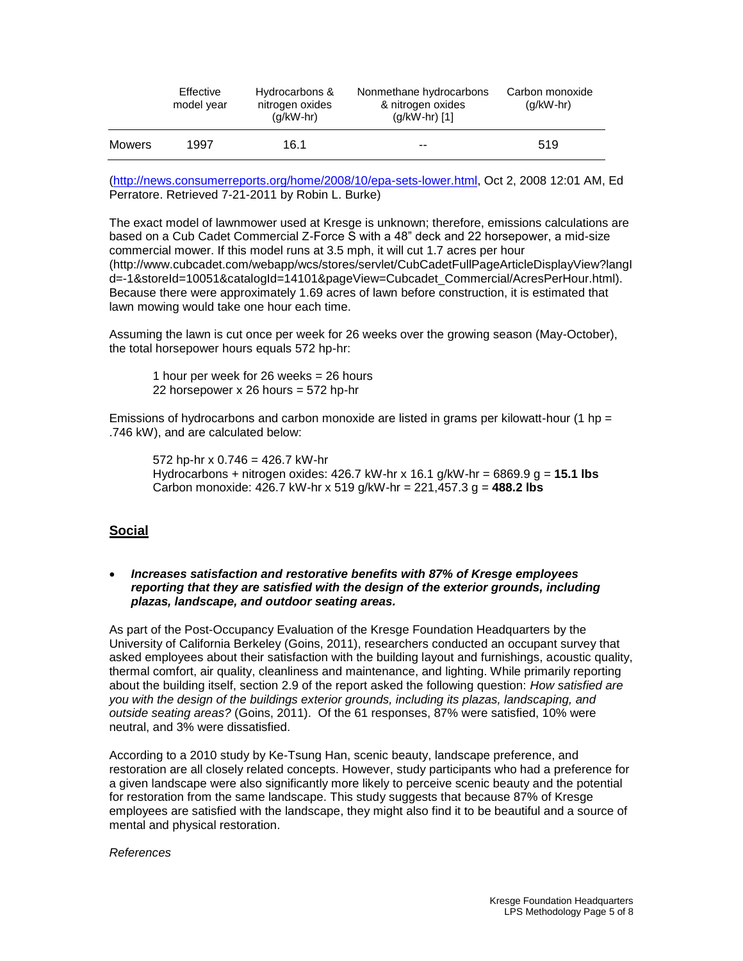|        | Effective<br>model year | Hydrocarbons &<br>nitrogen oxides<br>$(q/kW-hr)$ | Nonmethane hydrocarbons<br>& nitrogen oxides<br>$(g/kW-hr)$ [1] | Carbon monoxide<br>$(q/kW-hr)$ |  |  |
|--------|-------------------------|--------------------------------------------------|-----------------------------------------------------------------|--------------------------------|--|--|
| Mowers | 1997                    | 16.1                                             | $-$                                                             | 519                            |  |  |

[\(http://news.consumerreports.org/home/2008/10/epa-sets-lower.html,](http://news.consumerreports.org/home/2008/10/epa-sets-lower.html) Oct 2, 2008 12:01 AM, Ed Perratore. Retrieved 7-21-2011 by Robin L. Burke)

The exact model of lawnmower used at Kresge is unknown; therefore, emissions calculations are based on a Cub Cadet Commercial Z-Force S with a 48" deck and 22 horsepower, a mid-size commercial mower. If this model runs at 3.5 mph, it will cut 1.7 acres per hour (http://www.cubcadet.com/webapp/wcs/stores/servlet/CubCadetFullPageArticleDisplayView?langI d=-1&storeId=10051&catalogId=14101&pageView=Cubcadet\_Commercial/AcresPerHour.html). Because there were approximately 1.69 acres of lawn before construction, it is estimated that lawn mowing would take one hour each time.

Assuming the lawn is cut once per week for 26 weeks over the growing season (May-October), the total horsepower hours equals 572 hp-hr:

1 hour per week for 26 weeks = 26 hours 22 horsepower x 26 hours = 572 hp-hr

Emissions of hydrocarbons and carbon monoxide are listed in grams per kilowatt-hour (1 hp = .746 kW), and are calculated below:

572 hp-hr x 0.746 = 426.7 kW-hr Hydrocarbons + nitrogen oxides: 426.7 kW-hr x 16.1 g/kW-hr = 6869.9 g = **15.1 lbs** Carbon monoxide: 426.7 kW-hr x 519 g/kW-hr = 221,457.3 g = **488.2 lbs**

# **Social**

 *Increases satisfaction and restorative benefits with 87% of Kresge employees reporting that they are satisfied with the design of the exterior grounds, including plazas, landscape, and outdoor seating areas.*

As part of the Post-Occupancy Evaluation of the Kresge Foundation Headquarters by the University of California Berkeley (Goins, 2011), researchers conducted an occupant survey that asked employees about their satisfaction with the building layout and furnishings, acoustic quality, thermal comfort, air quality, cleanliness and maintenance, and lighting. While primarily reporting about the building itself, section 2.9 of the report asked the following question: *How satisfied are you with the design of the buildings exterior grounds, including its plazas, landscaping, and outside seating areas?* (Goins, 2011). Of the 61 responses, 87% were satisfied, 10% were neutral, and 3% were dissatisfied.

According to a 2010 study by Ke-Tsung Han, scenic beauty, landscape preference, and restoration are all closely related concepts. However, study participants who had a preference for a given landscape were also significantly more likely to perceive scenic beauty and the potential for restoration from the same landscape. This study suggests that because 87% of Kresge employees are satisfied with the landscape, they might also find it to be beautiful and a source of mental and physical restoration.

#### *References*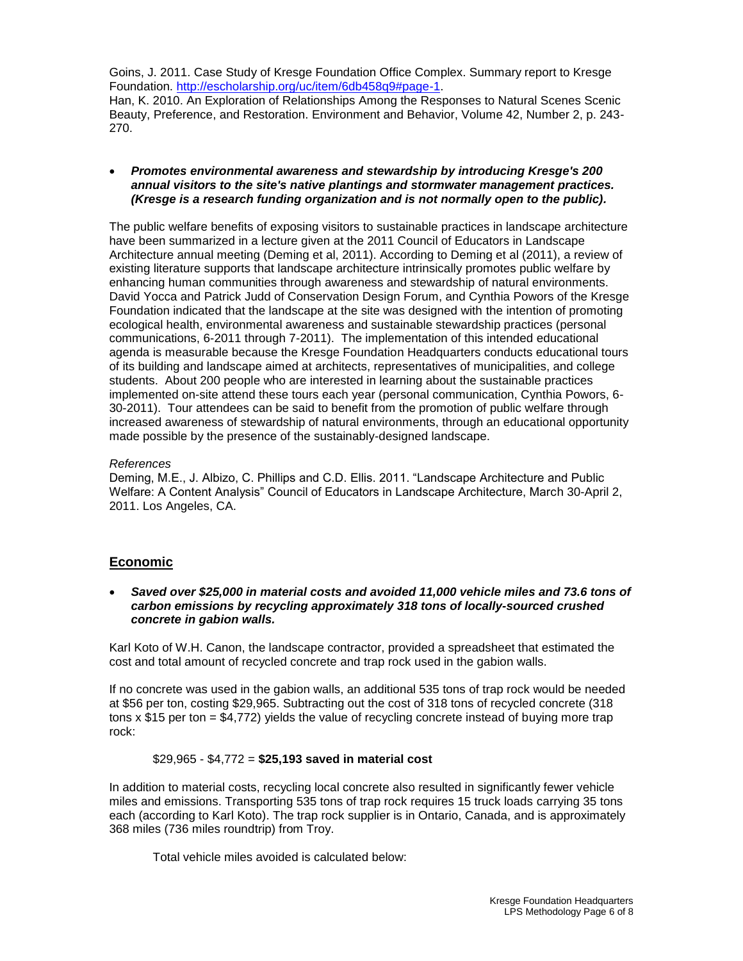Goins, J. 2011[.](http://escholarship.org/uc/item/6db458q9) [Case](http://escholarship.org/uc/item/6db458q9) [Study](http://escholarship.org/uc/item/6db458q9) [of](http://escholarship.org/uc/item/6db458q9) [Kresge](http://escholarship.org/uc/item/6db458q9) [Foundation](http://escholarship.org/uc/item/6db458q9) [Office](http://escholarship.org/uc/item/6db458q9) [Complex.](http://escholarship.org/uc/item/6db458q9) Summary report to Kresge Foundation. [http://escholarship.org/uc/item/6db458q9#page-1.](http://escholarship.org/uc/item/6db458q9#page-1)

Han, K. 2010. An Exploration of Relationships Among the Responses to Natural Scenes Scenic Beauty, Preference, and Restoration. Environment and Behavior, Volume 42, Number 2, p. 243- 270.

### *Promotes environmental awareness and stewardship by introducing Kresge's 200 annual visitors to the site's native plantings and stormwater management practices. (Kresge is a research funding organization and is not normally open to the public).*

The public welfare benefits of exposing visitors to sustainable practices in landscape architecture have been summarized in a lecture given at the 2011 Council of Educators in Landscape Architecture annual meeting (Deming et al, 2011). According to Deming et al (2011), a review of existing literature supports that landscape architecture intrinsically promotes public welfare by enhancing human communities through awareness and stewardship of natural environments. David Yocca and Patrick Judd of Conservation Design Forum, and Cynthia Powors of the Kresge Foundation indicated that the landscape at the site was designed with the intention of promoting ecological health, environmental awareness and sustainable stewardship practices (personal communications, 6-2011 through 7-2011). The implementation of this intended educational agenda is measurable because the Kresge Foundation Headquarters conducts educational tours of its building and landscape aimed at architects, representatives of municipalities, and college students. About 200 people who are interested in learning about the sustainable practices implemented on-site attend these tours each year (personal communication, Cynthia Powors, 6- 30-2011). Tour attendees can be said to benefit from the promotion of public welfare through increased awareness of stewardship of natural environments, through an educational opportunity made possible by the presence of the sustainably-designed landscape.

### *References*

Deming, M.E., J. Albizo, C. Phillips and C.D. Ellis. 2011. "Landscape Architecture and Public Welfare: A Content Analysis" Council of Educators in Landscape Architecture, March 30-April 2, 2011. Los Angeles, CA.

# **Economic**

 *Saved over \$25,000 in material costs and avoided 11,000 vehicle miles and 73.6 tons of carbon emissions by recycling approximately 318 tons of locally-sourced crushed concrete in gabion walls.*

Karl Koto of W.H. Canon, the landscape contractor, provided a spreadsheet that estimated the cost and total amount of recycled concrete and trap rock used in the gabion walls.

If no concrete was used in the gabion walls, an additional 535 tons of trap rock would be needed at \$56 per ton, costing \$29,965. Subtracting out the cost of 318 tons of recycled concrete (318 tons x \$15 per ton = \$4,772) yields the value of recycling concrete instead of buying more trap rock:

### \$29,965 - \$4,772 = **\$25,193 saved in material cost**

In addition to material costs, recycling local concrete also resulted in significantly fewer vehicle miles and emissions. Transporting 535 tons of trap rock requires 15 truck loads carrying 35 tons each (according to Karl Koto). The trap rock supplier is in Ontario, Canada, and is approximately 368 miles (736 miles roundtrip) from Troy.

Total vehicle miles avoided is calculated below: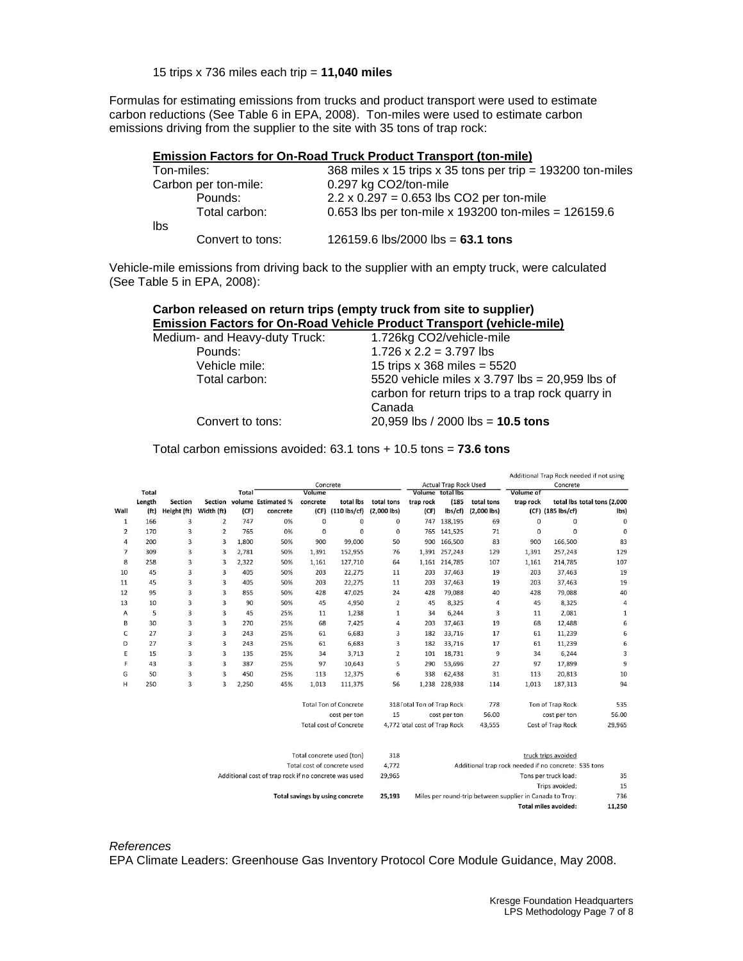15 trips x 736 miles each trip = **11,040 miles**

Formulas for estimating emissions from trucks and product transport were used to estimate carbon reductions (See Table 6 in EPA, 2008). Ton-miles were used to estimate carbon emissions driving from the supplier to the site with 35 tons of trap rock:

| <b>Emission Factors for On-Road Truck Product Transport (ton-mile)</b> |                  |                                                              |  |  |  |  |  |  |
|------------------------------------------------------------------------|------------------|--------------------------------------------------------------|--|--|--|--|--|--|
| Ton-miles:                                                             |                  | 368 miles x 15 trips x 35 tons per trip = $193200$ ton-miles |  |  |  |  |  |  |
| Carbon per ton-mile:                                                   |                  | 0.297 kg CO2/ton-mile                                        |  |  |  |  |  |  |
|                                                                        | Pounds:          | $2.2 \times 0.297 = 0.653$ lbs CO2 per ton-mile              |  |  |  |  |  |  |
|                                                                        | Total carbon:    | 0.653 lbs per ton-mile x 193200 ton-miles = $126159.6$       |  |  |  |  |  |  |
| lbs                                                                    | Convert to tons: | 126159.6 $bs/2000$ $bs = 63.1$ tons                          |  |  |  |  |  |  |

Vehicle-mile emissions from driving back to the supplier with an empty truck, were calculated (See Table 5 in EPA, 2008):

## **Carbon released on return trips (empty truck from site to supplier) Emission Factors for On-Road Vehicle Product Transport (vehicle-mile)**

| Medium- and Heavy-duty Truck: | 1.726kg CO2/vehicle-mile                                                                           |
|-------------------------------|----------------------------------------------------------------------------------------------------|
| Pounds:                       | $1.726 \times 2.2 = 3.797$ lbs                                                                     |
| Vehicle mile:                 | 15 trips x 368 miles = $5520$                                                                      |
| Total carbon:                 | 5520 vehicle miles x 3.797 lbs = 20,959 lbs of<br>carbon for return trips to a trap rock quarry in |
|                               | Canada                                                                                             |
| Convert to tons:              | 20,959 lbs / 2000 lbs = 10.5 tons                                                                  |

### Total carbon emissions avoided: 63.1 tons + 10.5 tons = **73.6 tons**

|                |                   |             |                |              |                                                      | Concrete                     |                               |                |                              | <b>Actual Trap Rock Used</b> |                |                                                      | Concrete             | Additional Trap Rock needed if not using |
|----------------|-------------------|-------------|----------------|--------------|------------------------------------------------------|------------------------------|-------------------------------|----------------|------------------------------|------------------------------|----------------|------------------------------------------------------|----------------------|------------------------------------------|
|                | <b>Total</b>      |             |                | <b>Total</b> |                                                      | Volume                       |                               |                |                              | Volume total lbs             |                | <b>Volume of</b>                                     |                      |                                          |
|                | Length            | Section     |                |              | Section volume Estimated %                           | concrete                     | total lbs                     | total tons     | trap rock                    | (185)                        | total tons     | trap rock                                            |                      | total lbs total tons (2,000              |
| Wall           | (f <sub>t</sub> ) | Height (ft) | Width (ft)     | (CF)         | concrete                                             | (CF)                         | $(110$ lbs/cf)                | $(2,000$ lbs)  | (CF)                         | $\mathsf{lbs}/\mathsf{cf}$   | $(2,000$ lbs)  |                                                      | (CF) (185 lbs/cf)    | lbs)                                     |
| $\mathbf{1}$   | 166               | 3           | $\overline{2}$ | 747          | 0%                                                   | 0                            | $\mathbf 0$                   | 0              |                              | 747 138,195                  | 69             | 0                                                    | $\mathbf 0$          | 0                                        |
| $\overline{2}$ | 170               | 3           | $\overline{2}$ | 765          | 0%                                                   | $\mathbf 0$                  | $\Omega$                      | 0              | 765                          | 141,525                      | 71             | 0                                                    | $\mathbf{0}$         | 0                                        |
| 4              | 200               | 3           | 3              | 1,800        | 50%                                                  | 900                          | 99,000                        | 50             | 900                          | 166,500                      | 83             | 900                                                  | 166,500              | 83                                       |
| 7              | 309               | 3           | 3              | 2,781        | 50%                                                  | 1,391                        | 152,955                       | 76             | 1.391                        | 257,243                      | 129            | 1,391                                                | 257,243              | 129                                      |
| 8              | 258               | 3           | 3              | 2,322        | 50%                                                  | 1.161                        | 127,710                       | 64             |                              | 1,161 214,785                | 107            | 1,161                                                | 214,785              | 107                                      |
| 10             | 45                | 3           | 3              | 405          | 50%                                                  | 203                          | 22,275                        | 11             | 203                          | 37,463                       | 19             | 203                                                  | 37,463               | 19                                       |
| 11             | 45                | 3           | 3              | 405          | 50%                                                  | 203                          | 22,275                        | 11             | 203                          | 37,463                       | 19             | 203                                                  | 37,463               | 19                                       |
| 12             | 95                | 3           | 3              | 855          | 50%                                                  | 428                          | 47,025                        | 24             | 428                          | 79,088                       | 40             | 428                                                  | 79,088               | 40                                       |
| 13             | 10                | 3           | 3              | 90           | 50%                                                  | 45                           | 4,950                         | $\overline{2}$ | 45                           | 8,325                        | $\overline{4}$ | 45                                                   | 8,325                | 4                                        |
| A              | 5                 | 3           | 3              | 45           | 25%                                                  | 11                           | 1,238                         | $\mathbf{1}$   | 34                           | 6,244                        | 3              | 11                                                   | 2,081                | $\mathbf{1}$                             |
| B              | 30                | 3           | 3              | 270          | 25%                                                  | 68                           | 7,425                         | 4              | 203                          | 37,463                       | 19             | 68                                                   | 12,488               | 6                                        |
| С              | 27                | 3           | 3              | 243          | 25%                                                  | 61                           | 6,683                         | 3              | 182                          | 33,716                       | 17             | 61                                                   | 11,239               | 6                                        |
| D              | 27                | 3           | 3              | 243          | 25%                                                  | 61                           | 6,683                         | 3              | 182                          | 33,716                       | 17             | 61                                                   | 11,239               | 6                                        |
| E              | 15                | 3           | 3              | 135          | 25%                                                  | 34                           | 3,713                         | $\overline{2}$ | 101                          | 18,731                       | 9              | 34                                                   | 6,244                | 3                                        |
| F              | 43                | 3           | 3              | 387          | 25%                                                  | 97                           | 10.643                        | 5              | 290                          | 53.696                       | 27             | 97                                                   | 17.899               | 9                                        |
| G              | 50                | 3           | 3              | 450          | 25%                                                  | 113                          | 12,375                        | 6              | 338                          | 62,438                       | 31             | 113                                                  | 20,813               | 10                                       |
| н              | 250               | 3           | 3              | 2,250        | 45%                                                  | 1,013                        | 111,375                       | 56             | 1,238                        | 228,938                      | 114            | 1,013                                                | 187,313              | 94                                       |
|                |                   |             |                |              |                                                      | <b>Total Ton of Concrete</b> |                               |                | 318 Fotal Ton of Trap Rock   |                              | 778            |                                                      | Ton of Trap Rock     | 535                                      |
|                |                   |             |                |              |                                                      |                              | cost per ton                  | 15             |                              | cost per ton                 | 56.00          |                                                      | cost per ton         | 56.00                                    |
|                |                   |             |                |              |                                                      |                              | <b>Total cost of Concrete</b> |                | 4,772 otal cost of Trap Rock |                              | 43,555         |                                                      | Cost of Trap Rock    | 29,965                                   |
|                |                   |             |                |              |                                                      |                              |                               |                |                              |                              |                |                                                      |                      |                                          |
|                |                   |             |                |              |                                                      |                              | Total concrete used (ton)     | 318            |                              |                              |                |                                                      | truck trips avoided  |                                          |
|                |                   |             |                |              |                                                      |                              | Total cost of concrete used   | 4,772          |                              |                              |                | Additional trap rock needed if no concrete: 535 tons |                      |                                          |
|                |                   |             |                |              | Additional cost of trap rock if no concrete was used |                              |                               | 29,965         |                              |                              |                |                                                      | Tons per truck load: | 35                                       |
|                |                   |             |                |              |                                                      |                              |                               |                |                              |                              |                |                                                      | Trips avoided:       | 15                                       |

*References*

Total savings by using concrete 25,193 Miles per round-trip between supplier in Canada to Troy:

EPA Climate Leaders: Greenhouse Gas Inventory Protocol Core Module Guidance, May 2008.

**Total miles avoided:** 

736 11,250